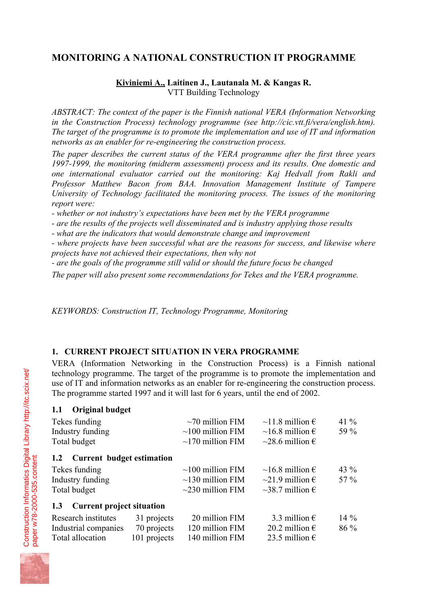# **MONITORING A NATIONAL CONSTRUCTION IT PROGRAMME**

#### **Kiviniemi A., Laitinen J., Lautanala M. & Kangas R.**  VTT Building Technology

*ABSTRACT: The context of the paper is the Finnish national VERA (Information Networking in the Construction Process) technology programme (see http://cic.vtt.fi/vera/english.htm). The target of the programme is to promote the implementation and use of IT and information networks as an enabler for re-engineering the construction process.* 

*The paper describes the current status of the VERA programme after the first three years 1997-1999, the monitoring (midterm assessment) process and its results. One domestic and one international evaluator carried out the monitoring: Kaj Hedvall from Rakli and Professor Matthew Bacon from BAA. Innovation Management Institute of Tampere University of Technology facilitated the monitoring process. The issues of the monitoring report were:* 

*- whether or not industry's expectations have been met by the VERA programme* 

*- are the results of the projects well disseminated and is industry applying those results* 

*- what are the indicators that would demonstrate change and improvement* 

*- where projects have been successful what are the reasons for success, and likewise where projects have not achieved their expectations, then why not* 

*- are the goals of the programme still valid or should the future focus be changed* 

*The paper will also present some recommendations for Tekes and the VERA programme.* 

*KEYWORDS: Construction IT, Technology Programme, Monitoring* 

# **1. CURRENT PROJECT SITUATION IN VERA PROGRAMME**

VERA (Information Networking in the Construction Process) is a Finnish national technology programme. The target of the programme is to promote the implementation and use of IT and information networks as an enabler for re-engineering the construction process. The programme started 1997 and it will last for 6 years, until the end of 2002.

### **1.1 Original budget**

| Tekes funding<br>Industry funding<br>Total budget               |                                            | $\sim$ 70 million FIM<br>$\sim$ 100 million FIM<br>$\sim$ 170 million FIM  | $\sim$ 11.8 million $\epsilon$<br>$\sim$ 16.8 million $\epsilon$<br>$\sim$ 28.6 million $\epsilon$ | 41 $%$<br>59 %   |  |  |
|-----------------------------------------------------------------|--------------------------------------------|----------------------------------------------------------------------------|----------------------------------------------------------------------------------------------------|------------------|--|--|
| Current budget estimation<br>1.2                                |                                            |                                                                            |                                                                                                    |                  |  |  |
| Tekes funding<br>Industry funding<br>Total budget               |                                            | $\sim$ 100 million FIM<br>$\sim$ 130 million FIM<br>$\sim$ 230 million FIM | $\sim$ 16.8 million $\epsilon$<br>$\sim$ 21.9 million $\epsilon$<br>$\sim$ 38.7 million $\epsilon$ | 43 %<br>57 $%$   |  |  |
| <b>Current project situation</b><br>1.3                         |                                            |                                                                            |                                                                                                    |                  |  |  |
| Research institutes<br>Industrial companies<br>Total allocation | 31 projects<br>70 projects<br>101 projects | 20 million FIM<br>120 million FIM<br>140 million FIM                       | 3.3 million $\epsilon$<br>20.2 million $\epsilon$<br>23.5 million $\epsilon$                       | $14\%$<br>$86\%$ |  |  |

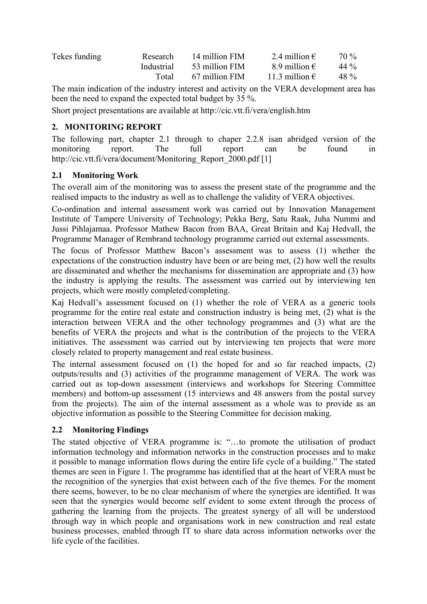| Tekes funding | Research   | 14 million FIM | 2.4 million $\epsilon$  | 70 % |
|---------------|------------|----------------|-------------------------|------|
|               | Industrial | 53 million FIM | 8.9 million $\epsilon$  | 44 % |
|               | Total      | 67 million FIM | 11.3 million $\epsilon$ | 48 % |

The main indication of the industry interest and activity on the VERA development area has been the need to expand the expected total budget by 35 %.

Short project presentations are available at http://cic.vtt.fi/vera/english.htm

# **2. MONITORING REPORT**

The following part, chapter 2.1 through to chaper 2.2.8 isan abridged version of the monitoring report. The full report can be found in http://cic.vtt.fi/vera/document/Monitoring\_Report\_2000.pdf [1]

### **2.1 Monitoring Work**

The overall aim of the monitoring was to assess the present state of the programme and the realised impacts to the industry as well as to challenge the validity of VERA objectives.

Co-ordination and internal assessment work was carried out by Innovation Management Institute of Tampere University of Technology; Pekka Berg, Satu Raak, Juha Nummi and Jussi Pihlajamaa. Professor Mathew Bacon from BAA, Great Britain and Kaj Hedvall, the Programme Manager of Rembrand technology programme carried out external assessments.

The focus of Professor Matthew Bacon's assessment was to assess (1) whether the expectations of the construction industry have been or are being met, (2) how well the results are disseminated and whether the mechanisms for dissemination are appropriate and (3) how the industry is applying the results. The assessment was carried out by interviewing ten projects, which were mostly completed/completing.

Kaj Hedvall's assessment focused on (1) whether the role of VERA as a generic tools programme for the entire real estate and construction industry is being met, (2) what is the interaction between VERA and the other technology programmes and (3) what are the benefits of VERA the projects and what is the contribution of the projects to the VERA initiatives. The assessment was carried out by interviewing ten projects that were more closely related to property management and real estate business.

The internal assessment focused on (1) the hoped for and so far reached impacts, (2) outputs/results and (3) activities of the programme management of VERA. The work was carried out as top-down assessment (interviews and workshops for Steering Committee members) and bottom-up assessment (15 interviews and 48 answers from the postal survey from the projects). The aim of the internal assessment as a whole was to provide as an objective information as possible to the Steering Committee for decision making.

# **2.2 Monitoring Findings**

The stated objective of VERA programme is: "…to promote the utilisation of product information technology and information networks in the construction processes and to make it possible to manage information flows during the entire life cycle of a building." The stated themes are seen in Figure 1. The programme has identified that at the heart of VERA must be the recognition of the synergies that exist between each of the five themes. For the moment there seems, however, to be no clear mechanism of where the synergies are identified. It was seen that the synergies would become self evident to some extent through the process of gathering the learning from the projects. The greatest synergy of all will be understood through way in which people and organisations work in new construction and real estate business processes, enabled through IT to share data across information networks over the life cycle of the facilities.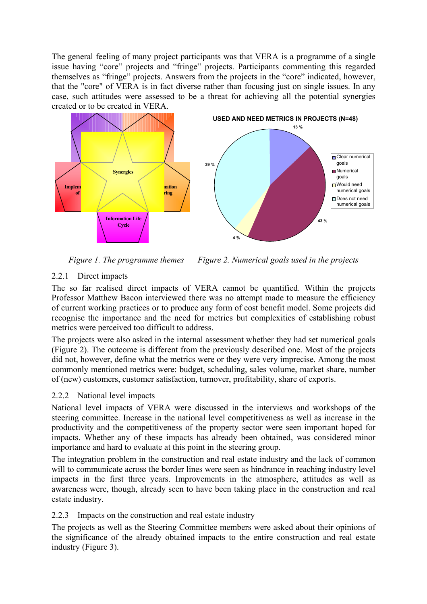The general feeling of many project participants was that VERA is a programme of a single issue having "core" projects and "fringe" projects. Participants commenting this regarded themselves as "fringe" projects. Answers from the projects in the "core" indicated, however, that the "core" of VERA is in fact diverse rather than focusing just on single issues. In any case, such attitudes were assessed to be a threat for achieving all the potential synergies created or to be created in VERA.



*Figure 1. The programme themes Figure 2. Numerical goals used in the projects* 

# 2.2.1 Direct impacts

The so far realised direct impacts of VERA cannot be quantified. Within the projects Professor Matthew Bacon interviewed there was no attempt made to measure the efficiency of current working practices or to produce any form of cost benefit model. Some projects did recognise the importance and the need for metrics but complexities of establishing robust metrics were perceived too difficult to address.

The projects were also asked in the internal assessment whether they had set numerical goals (Figure 2). The outcome is different from the previously described one. Most of the projects did not, however, define what the metrics were or they were very imprecise. Among the most commonly mentioned metrics were: budget, scheduling, sales volume, market share, number of (new) customers, customer satisfaction, turnover, profitability, share of exports.

# 2.2.2 National level impacts

National level impacts of VERA were discussed in the interviews and workshops of the steering committee. Increase in the national level competitiveness as well as increase in the productivity and the competitiveness of the property sector were seen important hoped for impacts. Whether any of these impacts has already been obtained, was considered minor importance and hard to evaluate at this point in the steering group.

The integration problem in the construction and real estate industry and the lack of common will to communicate across the border lines were seen as hindrance in reaching industry level impacts in the first three years. Improvements in the atmosphere, attitudes as well as awareness were, though, already seen to have been taking place in the construction and real estate industry.

# 2.2.3 Impacts on the construction and real estate industry

The projects as well as the Steering Committee members were asked about their opinions of the significance of the already obtained impacts to the entire construction and real estate industry (Figure 3).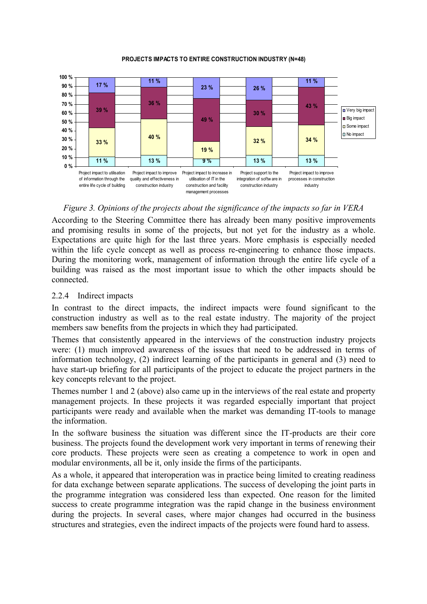**PROJECTS IMPACTS TO ENTIRE CONSTRUCTION INDUSTRY (N=48)**



*Figure 3. Opinions of the projects about the significance of the impacts so far in VERA* 

According to the Steering Committee there has already been many positive improvements and promising results in some of the projects, but not yet for the industry as a whole. Expectations are quite high for the last three years. More emphasis is especially needed within the life cycle concept as well as process re-engineering to enhance those impacts. During the monitoring work, management of information through the entire life cycle of a building was raised as the most important issue to which the other impacts should be connected.

### 2.2.4 Indirect impacts

In contrast to the direct impacts, the indirect impacts were found significant to the construction industry as well as to the real estate industry. The majority of the project members saw benefits from the projects in which they had participated.

Themes that consistently appeared in the interviews of the construction industry projects were: (1) much improved awareness of the issues that need to be addressed in terms of information technology, (2) indirect learning of the participants in general and (3) need to have start-up briefing for all participants of the project to educate the project partners in the key concepts relevant to the project.

Themes number 1 and 2 (above) also came up in the interviews of the real estate and property management projects. In these projects it was regarded especially important that project participants were ready and available when the market was demanding IT-tools to manage the information.

In the software business the situation was different since the IT-products are their core business. The projects found the development work very important in terms of renewing their core products. These projects were seen as creating a competence to work in open and modular environments, all be it, only inside the firms of the participants.

As a whole, it appeared that interoperation was in practice being limited to creating readiness for data exchange between separate applications. The success of developing the joint parts in the programme integration was considered less than expected. One reason for the limited success to create programme integration was the rapid change in the business environment during the projects. In several cases, where major changes had occurred in the business structures and strategies, even the indirect impacts of the projects were found hard to assess.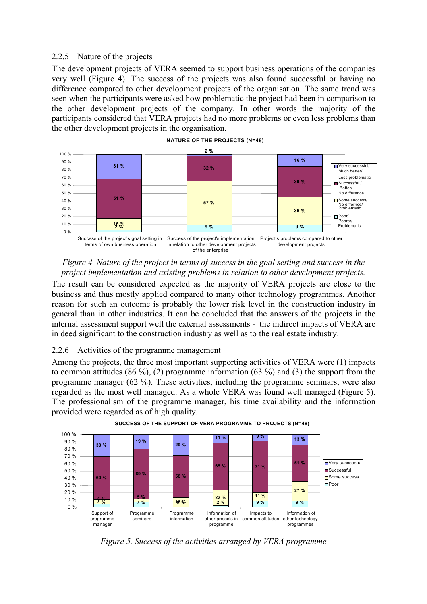#### 2.2.5 Nature of the projects

The development projects of VERA seemed to support business operations of the companies very well (Figure 4). The success of the projects was also found successful or having no difference compared to other development projects of the organisation. The same trend was seen when the participants were asked how problematic the project had been in comparison to the other development projects of the company. In other words the majority of the participants considered that VERA projects had no more problems or even less problems than the other development projects in the organisation.



**NATURE OF THE PROJECTS (N=48)**

#### *Figure 4. Nature of the project in terms of success in the goal setting and success in the project implementation and existing problems in relation to other development projects.*

The result can be considered expected as the majority of VERA projects are close to the business and thus mostly applied compared to many other technology programmes. Another reason for such an outcome is probably the lower risk level in the construction industry in general than in other industries. It can be concluded that the answers of the projects in the internal assessment support well the external assessments - the indirect impacts of VERA are in deed significant to the construction industry as well as to the real estate industry.

#### 2.2.6 Activities of the programme management

Among the projects, the three most important supporting activities of VERA were (1) impacts to common attitudes (86 %), (2) programme information (63 %) and (3) the support from the programme manager (62 %). These activities, including the programme seminars, were also regarded as the most well managed. As a whole VERA was found well managed (Figure 5). The professionalism of the programme manager, his time availability and the information provided were regarded as of high quality.



**SUCCESS OF THE SUPPORT OF VERA PROGRAMME TO PROJECTS (N=48)**

*Figure 5. Success of the activities arranged by VERA programme*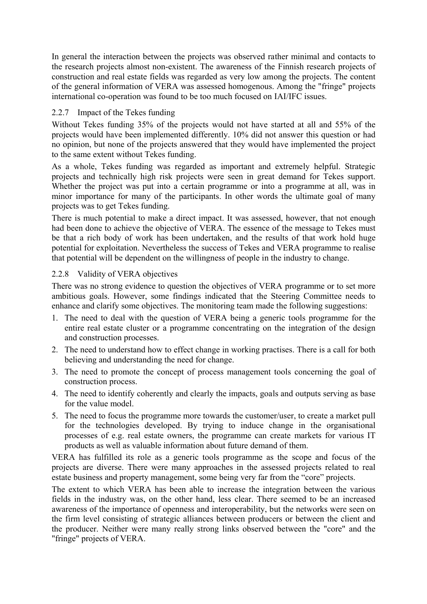In general the interaction between the projects was observed rather minimal and contacts to the research projects almost non-existent. The awareness of the Finnish research projects of construction and real estate fields was regarded as very low among the projects. The content of the general information of VERA was assessed homogenous. Among the "fringe" projects international co-operation was found to be too much focused on IAI/IFC issues.

### 2.2.7 Impact of the Tekes funding

Without Tekes funding 35% of the projects would not have started at all and 55% of the projects would have been implemented differently. 10% did not answer this question or had no opinion, but none of the projects answered that they would have implemented the project to the same extent without Tekes funding.

As a whole, Tekes funding was regarded as important and extremely helpful. Strategic projects and technically high risk projects were seen in great demand for Tekes support. Whether the project was put into a certain programme or into a programme at all, was in minor importance for many of the participants. In other words the ultimate goal of many projects was to get Tekes funding.

There is much potential to make a direct impact. It was assessed, however, that not enough had been done to achieve the objective of VERA. The essence of the message to Tekes must be that a rich body of work has been undertaken, and the results of that work hold huge potential for exploitation. Nevertheless the success of Tekes and VERA programme to realise that potential will be dependent on the willingness of people in the industry to change.

### 2.2.8 Validity of VERA objectives

There was no strong evidence to question the objectives of VERA programme or to set more ambitious goals. However, some findings indicated that the Steering Committee needs to enhance and clarify some objectives. The monitoring team made the following suggestions:

- 1. The need to deal with the question of VERA being a generic tools programme for the entire real estate cluster or a programme concentrating on the integration of the design and construction processes.
- 2. The need to understand how to effect change in working practises. There is a call for both believing and understanding the need for change.
- 3. The need to promote the concept of process management tools concerning the goal of construction process.
- 4. The need to identify coherently and clearly the impacts, goals and outputs serving as base for the value model.
- 5. The need to focus the programme more towards the customer/user, to create a market pull for the technologies developed. By trying to induce change in the organisational processes of e.g. real estate owners, the programme can create markets for various IT products as well as valuable information about future demand of them.

VERA has fulfilled its role as a generic tools programme as the scope and focus of the projects are diverse. There were many approaches in the assessed projects related to real estate business and property management, some being very far from the "core" projects.

The extent to which VERA has been able to increase the integration between the various fields in the industry was, on the other hand, less clear. There seemed to be an increased awareness of the importance of openness and interoperability, but the networks were seen on the firm level consisting of strategic alliances between producers or between the client and the producer. Neither were many really strong links observed between the "core" and the "fringe" projects of VERA.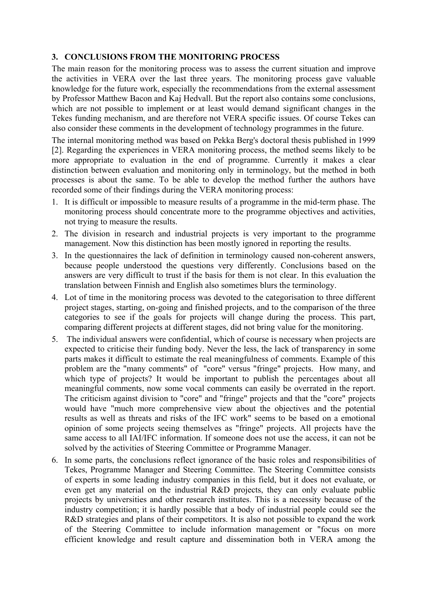### **3. CONCLUSIONS FROM THE MONITORING PROCESS**

The main reason for the monitoring process was to assess the current situation and improve the activities in VERA over the last three years. The monitoring process gave valuable knowledge for the future work, especially the recommendations from the external assessment by Professor Matthew Bacon and Kaj Hedvall. But the report also contains some conclusions, which are not possible to implement or at least would demand significant changes in the Tekes funding mechanism, and are therefore not VERA specific issues. Of course Tekes can also consider these comments in the development of technology programmes in the future.

The internal monitoring method was based on Pekka Berg's doctoral thesis published in 1999 [2]. Regarding the experiences in VERA monitoring process, the method seems likely to be more appropriate to evaluation in the end of programme. Currently it makes a clear distinction between evaluation and monitoring only in terminology, but the method in both processes is about the same. To be able to develop the method further the authors have recorded some of their findings during the VERA monitoring process:

- 1. It is difficult or impossible to measure results of a programme in the mid-term phase. The monitoring process should concentrate more to the programme objectives and activities, not trying to measure the results.
- 2. The division in research and industrial projects is very important to the programme management. Now this distinction has been mostly ignored in reporting the results.
- 3. In the questionnaires the lack of definition in terminology caused non-coherent answers, because people understood the questions very differently. Conclusions based on the answers are very difficult to trust if the basis for them is not clear. In this evaluation the translation between Finnish and English also sometimes blurs the terminology.
- 4. Lot of time in the monitoring process was devoted to the categorisation to three different project stages, starting, on-going and finished projects, and to the comparison of the three categories to see if the goals for projects will change during the process. This part, comparing different projects at different stages, did not bring value for the monitoring.
- 5. The individual answers were confidential, which of course is necessary when projects are expected to criticise their funding body. Never the less, the lack of transparency in some parts makes it difficult to estimate the real meaningfulness of comments. Example of this problem are the "many comments" of "core" versus "fringe" projects. How many, and which type of projects? It would be important to publish the percentages about all meaningful comments, now some vocal comments can easily be overrated in the report. The criticism against division to "core" and "fringe" projects and that the "core" projects would have "much more comprehensive view about the objectives and the potential results as well as threats and risks of the IFC work" seems to be based on a emotional opinion of some projects seeing themselves as "fringe" projects. All projects have the same access to all IAI/IFC information. If someone does not use the access, it can not be solved by the activities of Steering Committee or Programme Manager.
- 6. In some parts, the conclusions reflect ignorance of the basic roles and responsibilities of Tekes, Programme Manager and Steering Committee. The Steering Committee consists of experts in some leading industry companies in this field, but it does not evaluate, or even get any material on the industrial R&D projects, they can only evaluate public projects by universities and other research institutes. This is a necessity because of the industry competition; it is hardly possible that a body of industrial people could see the R&D strategies and plans of their competitors. It is also not possible to expand the work of the Steering Committee to include information management or "focus on more efficient knowledge and result capture and dissemination both in VERA among the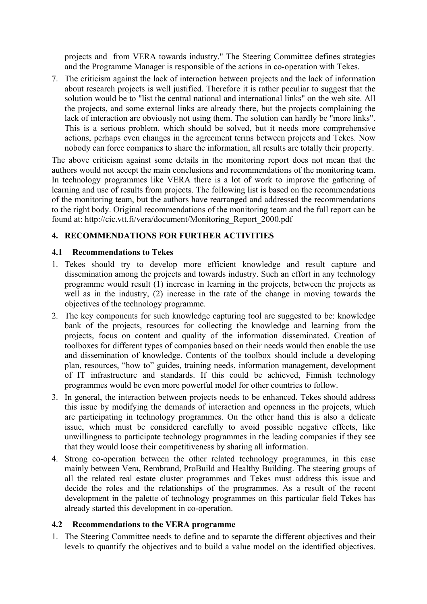projects and from VERA towards industry." The Steering Committee defines strategies and the Programme Manager is responsible of the actions in co-operation with Tekes.

7. The criticism against the lack of interaction between projects and the lack of information about research projects is well justified. Therefore it is rather peculiar to suggest that the solution would be to "list the central national and international links" on the web site. All the projects, and some external links are already there, but the projects complaining the lack of interaction are obviously not using them. The solution can hardly be "more links". This is a serious problem, which should be solved, but it needs more comprehensive actions, perhaps even changes in the agreement terms between projects and Tekes. Now nobody can force companies to share the information, all results are totally their property.

The above criticism against some details in the monitoring report does not mean that the authors would not accept the main conclusions and recommendations of the monitoring team. In technology programmes like VERA there is a lot of work to improve the gathering of learning and use of results from projects. The following list is based on the recommendations of the monitoring team, but the authors have rearranged and addressed the recommendations to the right body. Original recommendations of the monitoring team and the full report can be found at: http://cic.vtt.fi/vera/document/Monitoring\_Report\_2000.pdf

# **4. RECOMMENDATIONS FOR FURTHER ACTIVITIES**

#### **4.1 Recommendations to Tekes**

- 1. Tekes should try to develop more efficient knowledge and result capture and dissemination among the projects and towards industry. Such an effort in any technology programme would result (1) increase in learning in the projects, between the projects as well as in the industry, (2) increase in the rate of the change in moving towards the objectives of the technology programme.
- 2. The key components for such knowledge capturing tool are suggested to be: knowledge bank of the projects, resources for collecting the knowledge and learning from the projects, focus on content and quality of the information disseminated. Creation of toolboxes for different types of companies based on their needs would then enable the use and dissemination of knowledge. Contents of the toolbox should include a developing plan, resources, "how to" guides, training needs, information management, development of IT infrastructure and standards. If this could be achieved, Finnish technology programmes would be even more powerful model for other countries to follow.
- 3. In general, the interaction between projects needs to be enhanced. Tekes should address this issue by modifying the demands of interaction and openness in the projects, which are participating in technology programmes. On the other hand this is also a delicate issue, which must be considered carefully to avoid possible negative effects, like unwillingness to participate technology programmes in the leading companies if they see that they would loose their competitiveness by sharing all information.
- 4. Strong co-operation between the other related technology programmes, in this case mainly between Vera, Rembrand, ProBuild and Healthy Building. The steering groups of all the related real estate cluster programmes and Tekes must address this issue and decide the roles and the relationships of the programmes. As a result of the recent development in the palette of technology programmes on this particular field Tekes has already started this development in co-operation.

### **4.2 Recommendations to the VERA programme**

1. The Steering Committee needs to define and to separate the different objectives and their levels to quantify the objectives and to build a value model on the identified objectives.